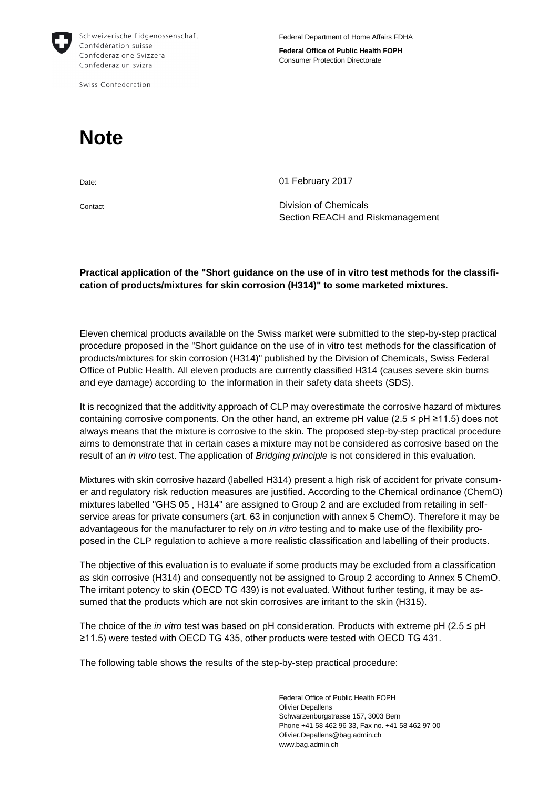

Swiss Confederation

**Federal Office of Public Health FOPH** Consumer Protection Directorate

## **Note**

Date: 01 February 2017

Contact Division of Chemicals Section REACH and Riskmanagement

## **Practical application of the "Short guidance on the use of in vitro test methods for the classification of products/mixtures for skin corrosion (H314)" to some marketed mixtures.**

Eleven chemical products available on the Swiss market were submitted to the step-by-step practical procedure proposed in the "Short guidance on the use of in vitro test methods for the classification of products/mixtures for skin corrosion (H314)" published by the Division of Chemicals, Swiss Federal Office of Public Health. All eleven products are currently classified H314 (causes severe skin burns and eye damage) according to the information in their safety data sheets (SDS).

It is recognized that the additivity approach of CLP may overestimate the corrosive hazard of mixtures containing corrosive components. On the other hand, an extreme pH value ( $2.5 \le pH \ge 11.5$ ) does not always means that the mixture is corrosive to the skin. The proposed step-by-step practical procedure aims to demonstrate that in certain cases a mixture may not be considered as corrosive based on the result of an *in vitro* test. The application of *Bridging principle* is not considered in this evaluation.

Mixtures with skin corrosive hazard (labelled H314) present a high risk of accident for private consumer and regulatory risk reduction measures are justified. According to the Chemical ordinance (ChemO) mixtures labelled "GHS 05 , H314" are assigned to Group 2 and are excluded from retailing in selfservice areas for private consumers (art. 63 in conjunction with annex 5 ChemO). Therefore it may be advantageous for the manufacturer to rely on *in vitro* testing and to make use of the flexibility proposed in the CLP regulation to achieve a more realistic classification and labelling of their products.

The objective of this evaluation is to evaluate if some products may be excluded from a classification as skin corrosive (H314) and consequently not be assigned to Group 2 according to Annex 5 ChemO. The irritant potency to skin (OECD TG 439) is not evaluated. Without further testing, it may be assumed that the products which are not skin corrosives are irritant to the skin (H315).

The choice of the *in vitro* test was based on pH consideration. Products with extreme pH (2.5 ≤ pH ≥11.5) were tested with OECD TG 435, other products were tested with OECD TG 431.

The following table shows the results of the step-by-step practical procedure:

Federal Office of Public Health FOPH Olivier Depallens Schwarzenburgstrasse 157, 3003 Bern Phone +41 58 462 96 33, Fax no. +41 58 462 97 00 Olivier.Depallens@bag.admin.ch www.bag.admin.ch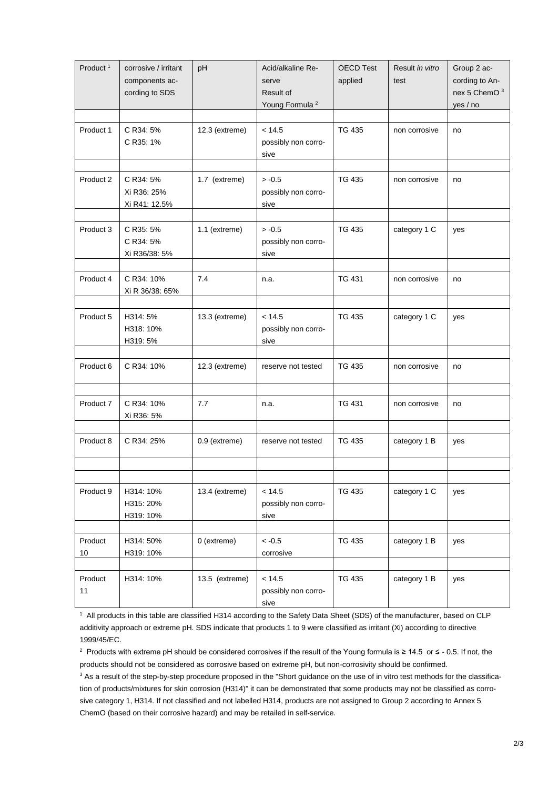| Product <sup>1</sup>       | corrosive / irritant<br>components ac-<br>cording to SDS | pH             | Acid/alkaline Re-<br>serve<br>Result of<br>Young Formula <sup>2</sup> | <b>OECD Test</b><br>applied | Result in vitro<br>test | Group 2 ac-<br>cording to An-<br>nex 5 ChemO <sup>3</sup><br>yes / no |
|----------------------------|----------------------------------------------------------|----------------|-----------------------------------------------------------------------|-----------------------------|-------------------------|-----------------------------------------------------------------------|
| Product 1                  | C R34: 5%<br>C R35: 1%                                   | 12.3 (extreme) | < 14.5<br>possibly non corro-<br>sive                                 | <b>TG 435</b>               | non corrosive           | no                                                                    |
| Product 2                  | C R34: 5%<br>Xi R36: 25%<br>Xi R41: 12.5%                | 1.7 (extreme)  | $> -0.5$<br>possibly non corro-<br>sive                               | <b>TG 435</b>               | non corrosive           | no                                                                    |
| Product 3                  | C R35: 5%<br>C R34: 5%<br>Xi R36/38: 5%                  | 1.1 (extreme)  | $> -0.5$<br>possibly non corro-<br>sive                               | <b>TG 435</b>               | category 1 C            | yes                                                                   |
| Product 4                  | C R34: 10%<br>Xi R 36/38: 65%                            | 7.4            | n.a.                                                                  | TG 431                      | non corrosive           | no                                                                    |
| Product 5                  | H314: 5%<br>H318: 10%<br>H319: 5%                        | 13.3 (extreme) | < 14.5<br>possibly non corro-<br>sive                                 | <b>TG 435</b>               | category 1 C            | yes                                                                   |
| Product 6                  | C R34: 10%                                               | 12.3 (extreme) | reserve not tested                                                    | <b>TG 435</b>               | non corrosive           | no                                                                    |
| Product 7                  | C R34: 10%<br>Xi R36: 5%                                 | 7.7            | n.a.                                                                  | <b>TG 431</b>               | non corrosive           | no                                                                    |
| Product 8                  | C R34: 25%                                               | 0.9 (extreme)  | reserve not tested                                                    | <b>TG 435</b>               | category 1 B            | yes                                                                   |
|                            |                                                          |                |                                                                       |                             |                         |                                                                       |
| Product 9                  | H314: 10%<br>H315: 20%<br>H319: 10%                      | 13.4 (extreme) | < 14.5<br>possibly non corro-<br>sive                                 | TG 435                      | category 1 C            | yes                                                                   |
| Product<br>10 <sup>°</sup> | H314: 50%<br>H319: 10%                                   | 0 (extreme)    | $< -0.5$<br>corrosive                                                 | <b>TG 435</b>               | category 1 B            | yes                                                                   |
| Product<br>11              | H314: 10%                                                | 13.5 (extreme) | < 14.5<br>possibly non corro-<br>sive                                 | <b>TG 435</b>               | category 1 B            | yes                                                                   |

1 All products in this table are classified H314 according to the Safety Data Sheet (SDS) of the manufacturer, based on CLP additivity approach or extreme pH. SDS indicate that products 1 to 9 were classified as irritant (Xi) according to directive 1999/45/EC.

2 Products with extreme pH should be considered corrosives if the result of the Young formula is ≥ 14.5 or ≤ - 0.5. If not, the products should not be considered as corrosive based on extreme pH, but non-corrosivity should be confirmed.

<sup>3</sup> As a result of the step-by-step procedure proposed in the "Short guidance on the use of in vitro test methods for the classification of products/mixtures for skin corrosion (H314)" it can be demonstrated that some products may not be classified as corrosive category 1, H314. If not classified and not labelled H314, products are not assigned to Group 2 according to Annex 5 ChemO (based on their corrosive hazard) and may be retailed in self-service.